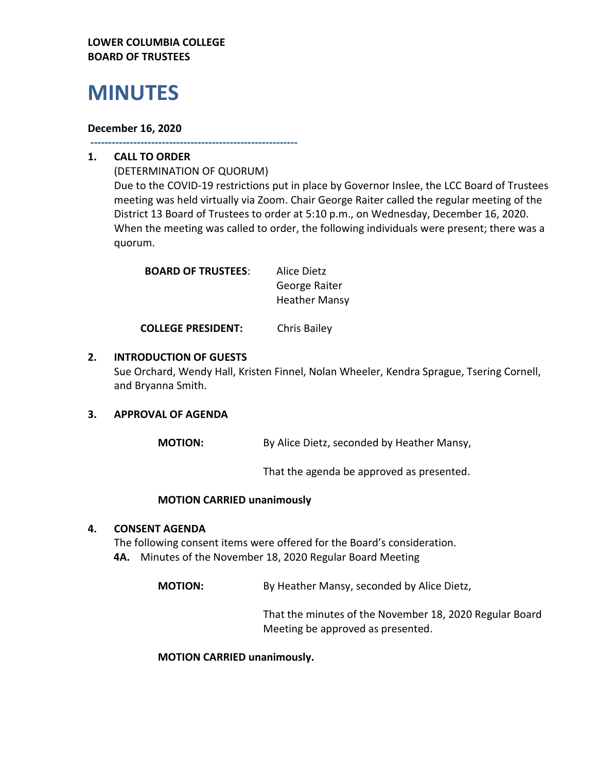# **LOWER COLUMBIA COLLEGE BOARD OF TRUSTEES**

# **MINUTES**

#### **December 16, 2020**

**----------------------------------------------------------**

# **1. CALL TO ORDER**

(DETERMINATION OF QUORUM) Due to the COVID-19 restrictions put in place by Governor Inslee, the LCC Board of Trustees meeting was held virtually via Zoom. Chair George Raiter called the regular meeting of the District 13 Board of Trustees to order at 5:10 p.m., on Wednesday, December 16, 2020. When the meeting was called to order, the following individuals were present; there was a quorum.

| Alice Dietz          |
|----------------------|
| George Raiter        |
| <b>Heather Mansy</b> |
|                      |

**COLLEGE PRESIDENT:** Chris Bailey

#### **2. INTRODUCTION OF GUESTS**

Sue Orchard, Wendy Hall, Kristen Finnel, Nolan Wheeler, Kendra Sprague, Tsering Cornell, and Bryanna Smith.

# **3. APPROVAL OF AGENDA**

**MOTION:** By Alice Dietz, seconded by Heather Mansy,

That the agenda be approved as presented.

#### **MOTION CARRIED unanimously**

#### **4. CONSENT AGENDA**

The following consent items were offered for the Board's consideration. **4A.** Minutes of the November 18, 2020 Regular Board Meeting

**MOTION:** By Heather Mansy, seconded by Alice Dietz,

That the minutes of the November 18, 2020 Regular Board Meeting be approved as presented.

**MOTION CARRIED unanimously.**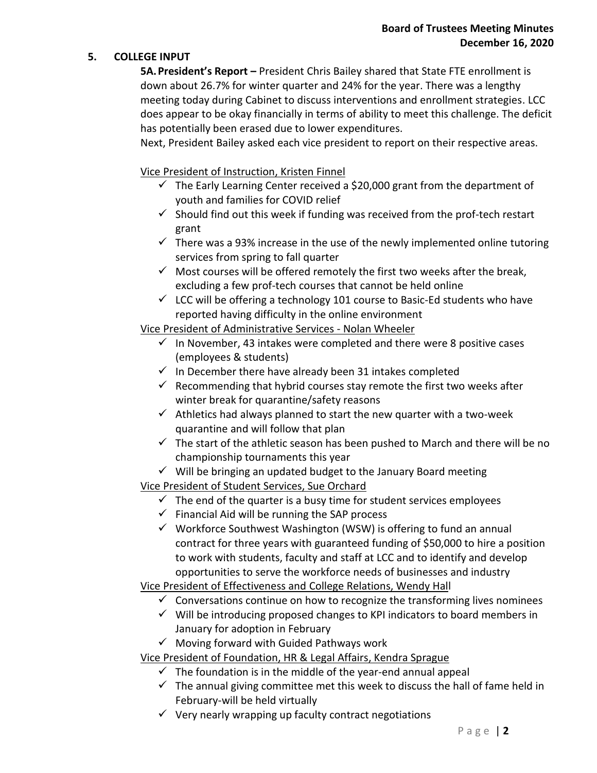# **5. COLLEGE INPUT**

**5A.President's Report –** President Chris Bailey shared that State FTE enrollment is down about 26.7% for winter quarter and 24% for the year. There was a lengthy meeting today during Cabinet to discuss interventions and enrollment strategies. LCC does appear to be okay financially in terms of ability to meet this challenge. The deficit has potentially been erased due to lower expenditures.

Next, President Bailey asked each vice president to report on their respective areas.

Vice President of Instruction, Kristen Finnel

- $\checkmark$  The Early Learning Center received a \$20,000 grant from the department of youth and families for COVID relief
- $\checkmark$  Should find out this week if funding was received from the prof-tech restart grant
- $\checkmark$  There was a 93% increase in the use of the newly implemented online tutoring services from spring to fall quarter
- $\checkmark$  Most courses will be offered remotely the first two weeks after the break, excluding a few prof-tech courses that cannot be held online
- $\checkmark$  LCC will be offering a technology 101 course to Basic-Ed students who have reported having difficulty in the online environment

Vice President of Administrative Services - Nolan Wheeler

- $\checkmark$  In November, 43 intakes were completed and there were 8 positive cases (employees & students)
- $\checkmark$  In December there have already been 31 intakes completed
- $\checkmark$  Recommending that hybrid courses stay remote the first two weeks after winter break for quarantine/safety reasons
- $\checkmark$  Athletics had always planned to start the new quarter with a two-week quarantine and will follow that plan
- $\checkmark$  The start of the athletic season has been pushed to March and there will be no championship tournaments this year
- $\checkmark$  Will be bringing an updated budget to the January Board meeting

Vice President of Student Services, Sue Orchard

- $\checkmark$  The end of the quarter is a busy time for student services employees
- $\checkmark$  Financial Aid will be running the SAP process
- $\checkmark$  Workforce Southwest Washington (WSW) is offering to fund an annual contract for three years with guaranteed funding of \$50,000 to hire a position to work with students, faculty and staff at LCC and to identify and develop opportunities to serve the workforce needs of businesses and industry

Vice President of Effectiveness and College Relations, Wendy Hall

- $\checkmark$  Conversations continue on how to recognize the transforming lives nominees
- $\checkmark$  Will be introducing proposed changes to KPI indicators to board members in January for adoption in February
- $\checkmark$  Moving forward with Guided Pathways work

Vice President of Foundation, HR & Legal Affairs, Kendra Sprague

- $\checkmark$  The foundation is in the middle of the year-end annual appeal
- $\checkmark$  The annual giving committee met this week to discuss the hall of fame held in February-will be held virtually
- $\checkmark$  Very nearly wrapping up faculty contract negotiations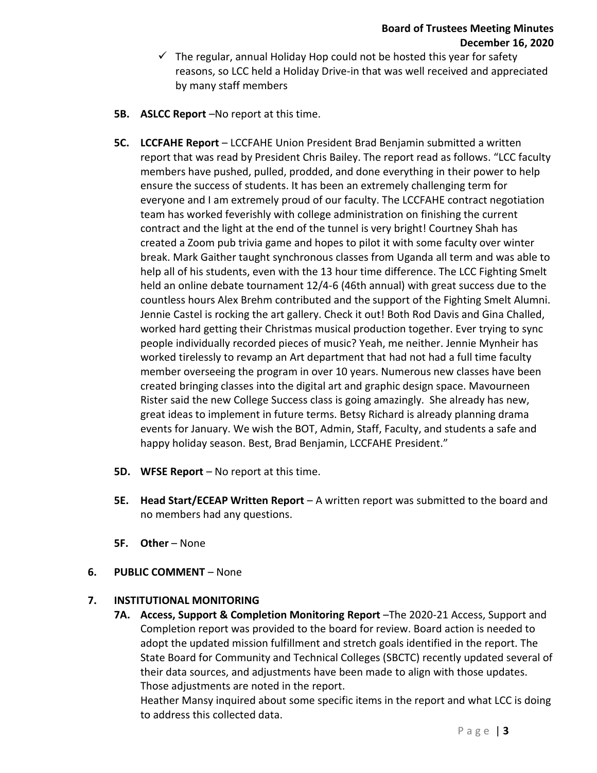- $\checkmark$  The regular, annual Holiday Hop could not be hosted this year for safety reasons, so LCC held a Holiday Drive-in that was well received and appreciated by many staff members
- **5B. ASLCC Report** –No report at this time.
- **5C. LCCFAHE Report** LCCFAHE Union President Brad Benjamin submitted a written report that was read by President Chris Bailey. The report read as follows. "LCC faculty members have pushed, pulled, prodded, and done everything in their power to help ensure the success of students. It has been an extremely challenging term for everyone and I am extremely proud of our faculty. The LCCFAHE contract negotiation team has worked feverishly with college administration on finishing the current contract and the light at the end of the tunnel is very bright! Courtney Shah has created a Zoom pub trivia game and hopes to pilot it with some faculty over winter break. Mark Gaither taught synchronous classes from Uganda all term and was able to help all of his students, even with the 13 hour time difference. The LCC Fighting Smelt held an online debate tournament 12/4-6 (46th annual) with great success due to the countless hours Alex Brehm contributed and the support of the Fighting Smelt Alumni. Jennie Castel is rocking the art gallery. Check it out! Both Rod Davis and Gina Challed, worked hard getting their Christmas musical production together. Ever trying to sync people individually recorded pieces of music? Yeah, me neither. Jennie Mynheir has worked tirelessly to revamp an Art department that had not had a full time faculty member overseeing the program in over 10 years. Numerous new classes have been created bringing classes into the digital art and graphic design space. Mavourneen Rister said the new College Success class is going amazingly. She already has new, great ideas to implement in future terms. Betsy Richard is already planning drama events for January. We wish the BOT, Admin, Staff, Faculty, and students a safe and happy holiday season. Best, Brad Benjamin, LCCFAHE President."
- **5D. WFSE Report** No report at this time.
- **5E. Head Start/ECEAP Written Report** A written report was submitted to the board and no members had any questions.
- **5F. Other** None
- **6. PUBLIC COMMENT**  None

# **7. INSTITUTIONAL MONITORING**

**7A. Access, Support & Completion Monitoring Report** –The 2020-21 Access, Support and Completion report was provided to the board for review. Board action is needed to adopt the updated mission fulfillment and stretch goals identified in the report. The State Board for Community and Technical Colleges (SBCTC) recently updated several of their data sources, and adjustments have been made to align with those updates. Those adjustments are noted in the report.

Heather Mansy inquired about some specific items in the report and what LCC is doing to address this collected data.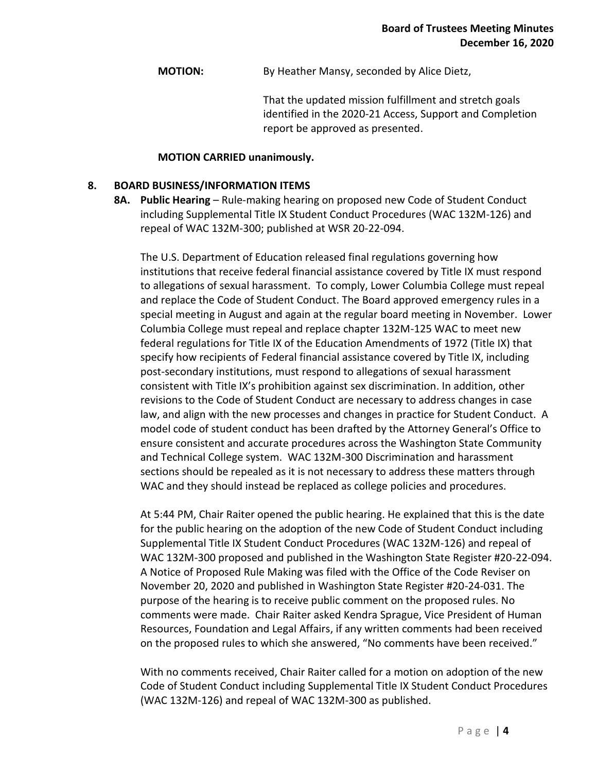**MOTION:** By Heather Mansy, seconded by Alice Dietz,

That the updated mission fulfillment and stretch goals identified in the 2020-21 Access, Support and Completion report be approved as presented.

#### **MOTION CARRIED unanimously.**

#### **8. BOARD BUSINESS/INFORMATION ITEMS**

**8A. Public Hearing** – Rule-making hearing on proposed new Code of Student Conduct including Supplemental Title IX Student Conduct Procedures (WAC 132M-126) and repeal of WAC 132M-300; published at WSR 20-22-094.

The U.S. Department of Education released final regulations governing how institutions that receive federal financial assistance covered by Title IX must respond to allegations of sexual harassment. To comply, Lower Columbia College must repeal and replace the Code of Student Conduct. The Board approved emergency rules in a special meeting in August and again at the regular board meeting in November. Lower Columbia College must repeal and replace chapter 132M-125 WAC to meet new federal regulations for Title IX of the Education Amendments of 1972 (Title IX) that specify how recipients of Federal financial assistance covered by Title IX, including post-secondary institutions, must respond to allegations of sexual harassment consistent with Title IX's prohibition against sex discrimination. In addition, other revisions to the Code of Student Conduct are necessary to address changes in case law, and align with the new processes and changes in practice for Student Conduct. A model code of student conduct has been drafted by the Attorney General's Office to ensure consistent and accurate procedures across the Washington State Community and Technical College system. WAC 132M-300 Discrimination and harassment sections should be repealed as it is not necessary to address these matters through WAC and they should instead be replaced as college policies and procedures.

At 5:44 PM, Chair Raiter opened the public hearing. He explained that this is the date for the public hearing on the adoption of the new Code of Student Conduct including Supplemental Title IX Student Conduct Procedures (WAC 132M-126) and repeal of WAC 132M-300 proposed and published in the Washington State Register #20-22-094. A Notice of Proposed Rule Making was filed with the Office of the Code Reviser on November 20, 2020 and published in Washington State Register #20-24-031. The purpose of the hearing is to receive public comment on the proposed rules. No comments were made. Chair Raiter asked Kendra Sprague, Vice President of Human Resources, Foundation and Legal Affairs, if any written comments had been received on the proposed rules to which she answered, "No comments have been received."

With no comments received, Chair Raiter called for a motion on adoption of the new Code of Student Conduct including Supplemental Title IX Student Conduct Procedures (WAC 132M-126) and repeal of WAC 132M-300 as published.